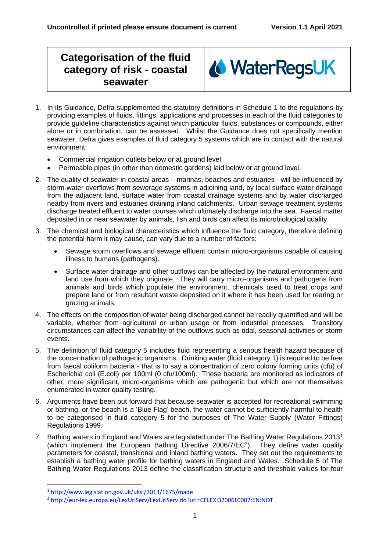## **Categorisation of the fluid category of risk - coastal seawater**



- 1. In its Guidance, Defra supplemented the statutory definitions in Schedule 1 to the regulations by providing examples of fluids, fittings, applications and processes in each of the fluid categories to provide guideline characteristics against which particular fluids, substances or compounds, either alone or in combination, can be assessed. Whilst the Guidance does not specifically mention seawater, Defra gives examples of fluid category 5 systems which are in contact with the natural environment:
	- Commercial irrigation outlets below or at ground level;
	- Permeable pipes (in other than domestic gardens) laid below or at ground level.
- 2. The quality of seawater in coastal areas marinas, beaches and estuaries will be influenced by storm-water overflows from sewerage systems in adjoining land, by local surface water drainage from the adjacent land, surface water from coastal drainage systems and by water discharged nearby from rivers and estuaries draining inland catchments. Urban sewage treatment systems discharge treated effluent to water courses which ultimately discharge into the sea. Faecal matter deposited in or near seawater by animals, fish and birds can affect its microbiological quality.
- 3. The chemical and biological characteristics which influence the fluid category, therefore defining the potential harm it may cause, can vary due to a number of factors:
	- Sewage storm overflows and sewage effluent contain micro-organisms capable of causing illness to humans (pathogens).
	- Surface water drainage and other outflows can be affected by the natural environment and land use from which they originate. They will carry micro-organisms and pathogens from animals and birds which populate the environment, chemicals used to treat crops and prepare land or from resultant waste deposited on it where it has been used for rearing or grazing animals.
- 4. The effects on the composition of water being discharged cannot be readily quantified and will be variable, whether from agricultural or urban usage or from industrial processes. Transitory circumstances can affect the variability of the outflows such as tidal, seasonal activities or storm events.
- 5. The definition of fluid category 5 includes fluid representing a serious health hazard because of the concentration of pathogenic organisms. Drinking water (fluid category 1) is required to be free from faecal coliform bacteria - that is to say a concentration of zero colony forming units (cfu) of Escherichia coli (E.coli) per 100ml (0 cfu/100ml). These bacteria are monitored as indicators of other, more significant, micro-organisms which are pathogenic but which are not themselves enumerated in water quality testing.
- 6. Arguments have been put forward that because seawater is accepted for recreational swimming or bathing, or the beach is a 'Blue Flag' beach, the water cannot be sufficiently harmful to health to be categorised in fluid category 5 for the purposes of The Water Supply (Water Fittings) Regulations 1999.
- 7. Bathing waters in England and Wales are legislated under The Bathing Water Regulations 2013<sup>1</sup> (which implement the European Bathing Directive 2006/7/EC<sup>2</sup>). They define water quality parameters for coastal, transitional and inland bathing waters. They set out the requirements to establish a bathing water profile for bathing waters in England and Wales. Schedule 5 of The Bathing Water Regulations 2013 define the classification structure and threshold values for four

<sup>1</sup> <http://www.legislation.gov.uk/uksi/2013/1675/made>

<sup>2</sup> <http://eur-lex.europa.eu/LexUriServ/LexUriServ.do?uri=CELEX:32006L0007:EN:NOT>